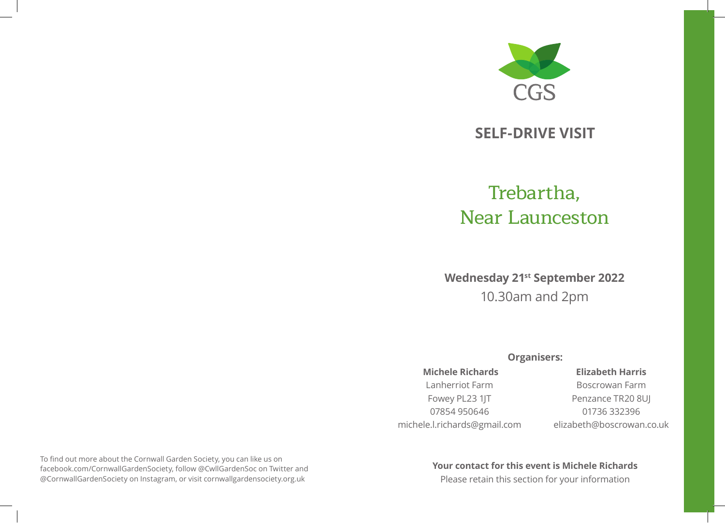

# **SELF-DRIVE VISIT**

# Trebartha, Near Launceston

**Wednesday 21st September 2022** 10.30am and 2pm

## **Organisers:**

### **Michele Richards**

# Lanherriot Farm

## Fowey PL23 1JT 07854 950646 michele.l.richards@gmail.com

## **Elizabeth Harris**

Boscrowan Farm Penzance TR20 8UJ 01736 332396 elizabeth@boscrowan.co.uk

To find out more about the Cornwall Garden Society, you can like us on facebook.com/CornwallGardenSociety, follow @CwllGardenSoc on Twitter and @CornwallGardenSociety on Instagram, or visit cornwallgardensociety.org.uk

## **Your contact for this event is Michele Richards**

Please retain this section for your information